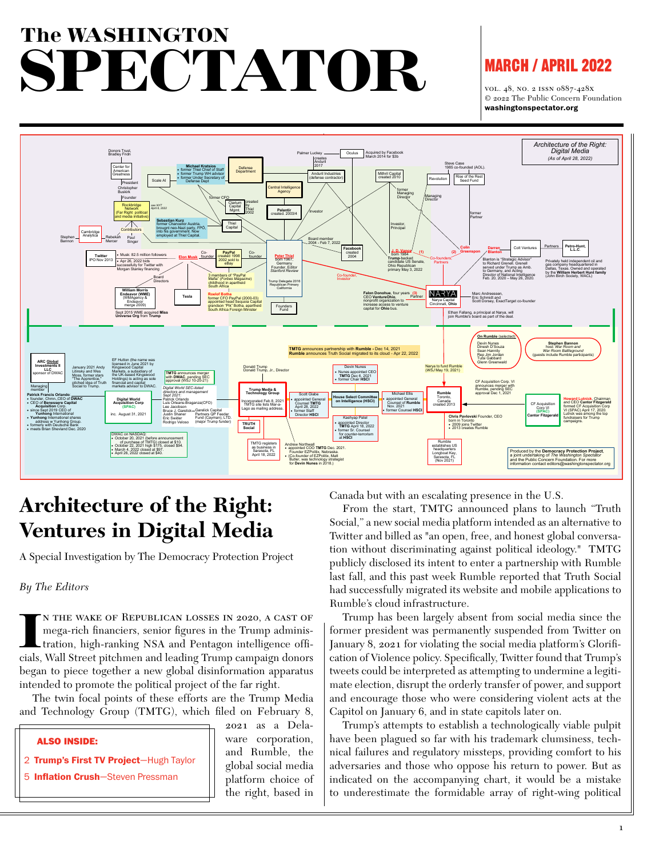# **The WASHINGTON**  SPECTATOR MARCH / APRIL 2022

vol. 48, no. 2 issn 0887-428x © 2022 The Public Concern Foundation **[washingtonspectator.org](https://washingtonspectator.org)**



# **Architecture of the Right: Ventures in Digital Media**

A Special Investigation by The Democracy Protection Project

# *By The Editors*

IN THE WAKE OF REPUBLICAN LOSSES IN 2020, A CAST OF mega-rich financiers, senior figures in the Trump administration, high-ranking NSA and Pentagon intelligence officials, Wall Street pitchmen and leading Trump campaign do n the wake of Republican losses in 2020, a cast of mega-rich financiers, senior figures in the Trump administration, high-ranking NSA and Pentagon intelligence offibegan to piece together a new global disinformation apparatus intended to promote the political project of the far right.

The twin focal points of these efforts are the Trump Media and Technology Group (TMTG), which filed on February 8,

# ALSO INSIDE:

2 **Trump's First TV Project**—Hugh Taylor

5 **Inflation Crush**—Steven Pressman

2021 as a Delaware corporation, and Rumble, the global social media platform choice of the right, based in

Canada but with an escalating presence in the U.S.

From the start, TMTG announced plans to launch "Truth Social," a new social media platform intended as an alternative to Twitter and billed as "an open, free, and honest global conversation without discriminating against political ideology." TMTG publicly disclosed its intent to enter a partnership with Rumble last fall, and this past week Rumble reported that Truth Social had successfully migrated its website and mobile applications to Rumble's cloud infrastructure.

Trump has been largely absent from social media since the former president was permanently suspended from Twitter on January 8, 2021 for violating the social media platform's Glorification of Violence policy. Specifically, Twitter found that Trump's tweets could be interpreted as attempting to undermine a legitimate election, disrupt the orderly transfer of power, and support and encourage those who were considering violent acts at the Capitol on January 6, and in state capitols later on.

Trump's attempts to establish a technologically viable pulpit have been plagued so far with his trademark clumsiness, technical failures and regulatory missteps, providing comfort to his adversaries and those who oppose his return to power. But as indicated on the accompanying chart, it would be a mistake to underestimate the formidable array of right-wing political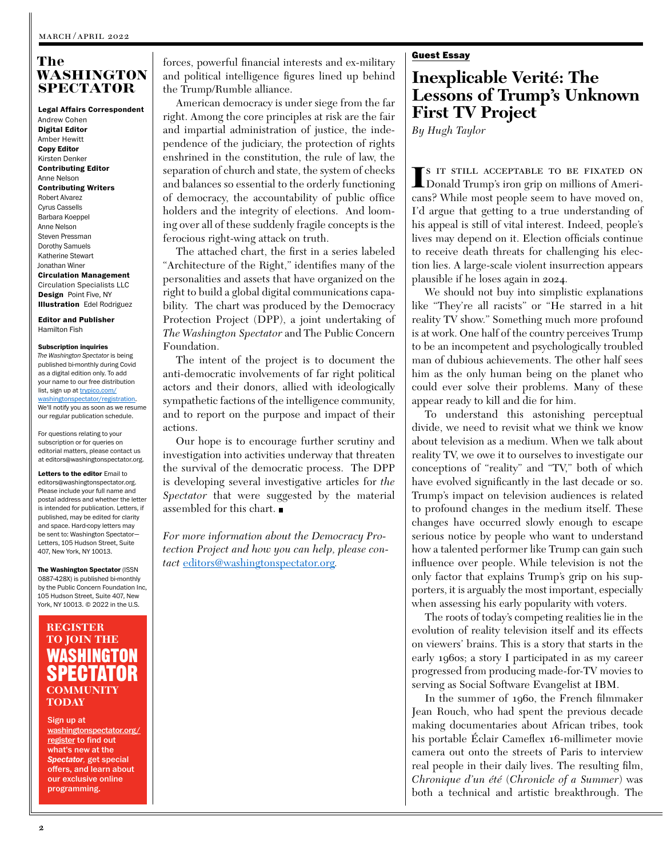# **The WASHINGTON SPECTATOR**

**Legal Affairs Correspondent** Andrew Cohen **Digital Editor** Amber Hewitt **Copy Editor**  Kirsten Denker **Contributing Editor** Anne Nelson **Contributing Writers** Robert Alvarez Cyrus Cassells Barbara Koeppel Anne Nelson Steven Pressman Dorothy Samuels Katherine Stewart Jonathan Winer **Circulation Management** Circulation Specialists LLC **Design** Point Five, NY **Illustration** Edel Rodriguez

**Editor and Publisher**  Hamilton Fish

#### **Subscription inquiries**

*The Washington Spectator* is being published bi-monthly during Covid as a digital edition only. To add your name to our free distribution list, sign up at **[trypico.com/](https://trypico.com/washingtonspectator/login/enter-email?id=LoginWizard_washingtonspectator)** [washingtonspectator/registration.](https://trypico.com/washingtonspectator/login/enter-email?id=LoginWizard_washingtonspectator) We'll notify you as soon as we resume our regular publication schedule.

For questions relating to your subscription or for queries on editorial matters, please contact us at editors@washingtonspectator.org.

**Letters to the editor** Email to editors@washingtonspectator.org. Please include your full name and postal address and whether the letter is intended for publication. Letters, if published, may be edited for clarity and space. Hard-copy letters may be sent to: Washington Spectator-Letters, 105 Hudson Street, Suite 407, New York, NY 10013.

**The Washington Spectator** (ISSN 0887-428X) is published bi-monthly by the Public Concern Foundation Inc, 105 Hudson Street, Suite 407, New York, NY 10013. © 2022 in the U.S.

# **REGISTER TO JOIN THE** WASHINGTO E HIJ **COMMUNITY TODAY**

Sign up at washingtonspectator.org/ register to find out what's new at the *Spectator,* get special offers, and learn about our exclusive online programming.

forces, powerful financial interests and ex-military and political intelligence figures lined up behind the Trump/Rumble alliance.

American democracy is under siege from the far right. Among the core principles at risk are the fair and impartial administration of justice, the independence of the judiciary, the protection of rights enshrined in the constitution, the rule of law, the separation of church and state, the system of checks and balances so essential to the orderly functioning of democracy, the accountability of public office holders and the integrity of elections. And looming over all of these suddenly fragile concepts is the ferocious right-wing attack on truth.

The attached chart, the first in a series labeled "Architecture of the Right," identifies many of the personalities and assets that have organized on the right to build a global digital communications capability. The chart was produced by the Democracy Protection Project (DPP), a joint undertaking of *The Washington Spectator* and The Public Concern Foundation.

The intent of the project is to document the anti-democratic involvements of far right political actors and their donors, allied with ideologically sympathetic factions of the intelligence community, and to report on the purpose and impact of their actions.

Our hope is to encourage further scrutiny and investigation into activities underway that threaten the survival of the democratic process. The DPP is developing several investigative articles for *the Spectator* that were suggested by the material assembled for this chart.

*For more information about the Democracy Protection Project and how you can help, please contact* [editors@washingtonspectator.org](mailto:editors%40washingtonspectator.org?subject=)*.*

### Guest Essay

# **Inexplicable Verité: The Lessons of Trump's Unknown First TV Project**

*By Hugh Taylor*

**I**s it still acceptable to be fixated on Donald Trump's iron grip on millions of Americans? While most people seem to have moved on, I'd argue that getting to a true understanding of his appeal is still of vital interest. Indeed, people's lives may depend on it. Election officials continue to receive death threats for challenging his election lies. A large-scale violent insurrection appears plausible if he loses again in 2024.

We should not buy into simplistic explanations like "They're all racists" or "He starred in a hit reality TV show." Something much more profound is at work. One half of the country perceives Trump to be an incompetent and psychologically troubled man of dubious achievements. The other half sees him as the only human being on the planet who could ever solve their problems. Many of these appear ready to kill and die for him.

To understand this astonishing perceptual divide, we need to revisit what we think we know about television as a medium. When we talk about reality TV, we owe it to ourselves to investigate our conceptions of "reality" and "TV," both of which have evolved significantly in the last decade or so. Trump's impact on television audiences is related to profound changes in the medium itself. These changes have occurred slowly enough to escape serious notice by people who want to understand how a talented performer like Trump can gain such influence over people. While television is not the only factor that explains Trump's grip on his supporters, it is arguably the most important, especially when assessing his early popularity with voters.

The roots of today's competing realities lie in the evolution of reality television itself and its effects on viewers' brains. This is a story that starts in the early 1960s; a story I participated in as my career progressed from producing made-for-TV movies to serving as Social Software Evangelist at IBM.

In the summer of 1960, the French filmmaker Jean Rouch, who had spent the previous decade making documentaries about African tribes, took his portable Éclair Cameflex 16-millimeter movie camera out onto the streets of Paris to interview real people in their daily lives. The resulting film, *Chronique d'un été* (*Chronicle of a Summer*) was both a technical and artistic breakthrough. The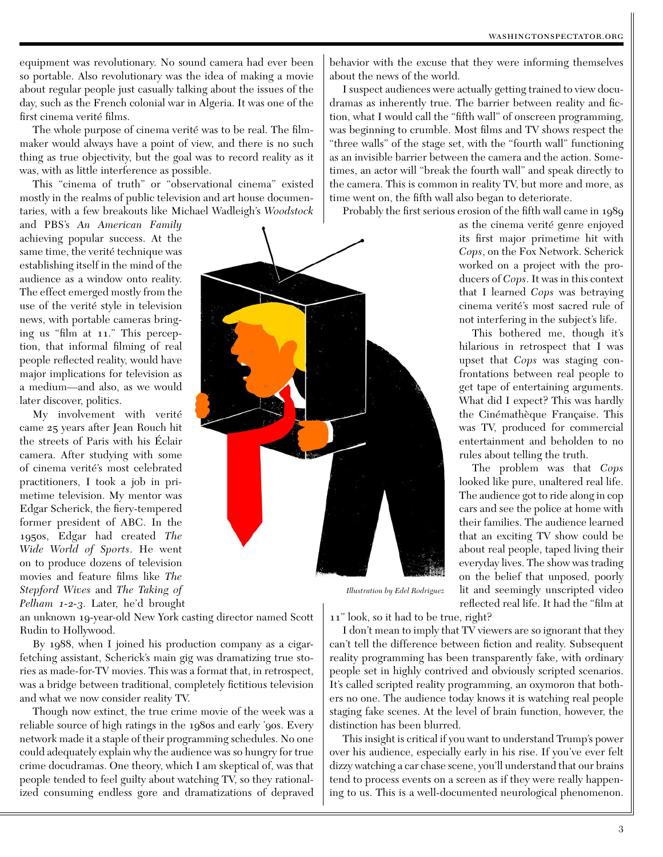equipment was revolutionary. No sound camera had ever been so portable. Also revolutionary was the idea of making a movie about regular people just casually talking about the issues of the day, such as the French colonial war in Algeria. It was one of the first cinema verité films.

The whole purpose of cinema verité was to be real. The filmmaker would always have a point of view, and there is no such thing as true objectivity, but the goal was to record reality as it was, with as little interference as possible.

This "cinema of truth" or "observational cinema" existed mostly in the realms of public television and art house documentaries, with a few breakouts like Michael Wadleigh's *Woodstock*

and PBS's *An American Family* achieving popular success. At the same time, the verité technique was establishing itself in the mind of the audience as a window onto reality. The effect emerged mostly from the use of the verité style in television news, with portable cameras bringing us "film at 11." This perception, that informal filming of real people reflected reality, would have major implications for television as a medium—and also, as we would later discover, politics.

My involvement with verité came 25 years after Jean Rouch hit the streets of Paris with his Éclair camera. After studying with some of cinema verité's most celebrated practitioners, I took a job in primetime television. My mentor was Edgar Scherick, the fiery-tempered former president of ABC. In the 1950s, Edgar had created *The Wide World of Sports*. He went on to produce dozens of television movies and feature films like *The Stepford Wives* and *The Taking of Pelham 1-2-3*. Later, he'd brought

*Illustration by Edel Rodriguez*

11" look, so it had to be true, right?

I don't mean to imply that TV viewers are so ignorant that they can't tell the difference between fiction and reality. Subsequent reality programming has been transparently fake, with ordinary people set in highly contrived and obviously scripted scenarios. It's called scripted reality programming, an oxymoron that bothers no one. The audience today knows it is watching real people staging fake scenes. At the level of brain function, however, the distinction has been blurred.

This insight is critical if you want to understand Trump's power over his audience, especially early in his rise. If you've ever felt dizzy watching a car chase scene, you'll understand that our brains tend to process events on a screen as if they were really happening to us. This is a well-documented neurological phenomenon.

behavior with the excuse that they were informing themselves about the news of the world.

I suspect audiences were actually getting trained to view docudramas as inherently true. The barrier between reality and fiction, what I would call the "fifth wall" of onscreen programming, was beginning to crumble. Most films and TV shows respect the "three walls" of the stage set, with the "fourth wall" functioning as an invisible barrier between the camera and the action. Sometimes, an actor will "break the fourth wall" and speak directly to the camera. This is common in reality TV, but more and more, as time went on, the fifth wall also began to deteriorate.

Probably the first serious erosion of the fifth wall came in 1989

as the cinema verité genre enjoyed its first major primetime hit with *Cops*, on the Fox Network. Scherick worked on a project with the producers of *Cops*. It was in this context that I learned *Cops* was betraying cinema verité's most sacred rule of not interfering in the subject's life.

This bothered me, though it's hilarious in retrospect that I was upset that *Cops* was staging confrontations between real people to get tape of entertaining arguments. What did I expect? This was hardly the Cinémathèque Française. This was TV, produced for commercial entertainment and beholden to no rules about telling the truth.

The problem was that *Cops* looked like pure, unaltered real life. The audience got to ride along in cop cars and see the police at home with their families. The audience learned that an exciting TV show could be about real people, taped living their everyday lives. The show was trading on the belief that unposed, poorly lit and seemingly unscripted video reflected real life. It had the "film at

an unknown 19-year-old New York casting director named Scott Rudin to Hollywood.

By 1988, when I joined his production company as a cigarfetching assistant, Scherick's main gig was dramatizing true stories as made-for-TV movies. This was a format that, in retrospect, was a bridge between traditional, completely fictitious television and what we now consider reality TV.

Though now extinct, the true crime movie of the week was a reliable source of high ratings in the 1980s and early '90s. Every network made it a staple of their programming schedules. No one could adequately explain why the audience was so hungry for true crime docudramas. One theory, which I am skeptical of, was that people tended to feel guilty about watching TV, so they rationalized consuming endless gore and dramatizations of depraved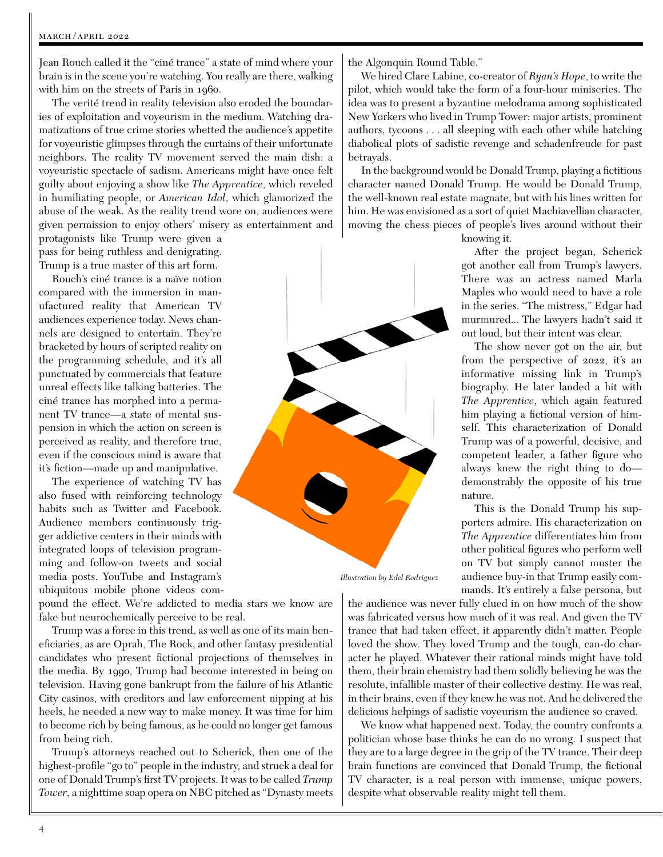Jean Rouch called it the "ciné trance" a state of mind where your brain is in the scene you're watching. You really are there, walking with him on the streets of Paris in 1960.

The verité trend in reality television also eroded the boundaries of exploitation and voyeurism in the medium. Watching dramatizations of true crime stories whetted the audience's appetite for voyeuristic glimpses through the curtains of their unfortunate neighbors. The reality TV movement served the main dish: a voyeuristic spectacle of sadism. Americans might have once felt guilty about enjoying a show like *The Apprentice*, which reveled in humiliating people, or *American Idol*, which glamorized the abuse of the weak. As the reality trend wore on, audiences were given permission to enjoy others' misery as entertainment and

protagonists like Trump were given a pass for being ruthless and denigrating. Trump is a true master of this art form.

Rouch's ciné trance is a naïve notion compared with the immersion in manufactured reality that American TV audiences experience today. News channels are designed to entertain. They're bracketed by hours of scripted reality on the programming schedule, and it's all punctuated by commercials that feature unreal effects like talking batteries. The ciné trance has morphed into a permanent TV trance—a state of mental suspension in which the action on screen is perceived as reality, and therefore true, even if the conscious mind is aware that it's fiction—made up and manipulative.

The experience of watching TV has also fused with reinforcing technology habits such as Twitter and Facebook. Audience members continuously trigger addictive centers in their minds with integrated loops of television programming and follow-on tweets and social media posts. YouTube and Instagram's ubiquitous mobile phone videos com-

pound the effect. We're addicted to media stars we know are fake but neurochemically perceive to be real.

Trump was a force in this trend, as well as one of its main beneficiaries, as are Oprah, The Rock, and other fantasy presidential candidates who present fictional projections of themselves in the media. By 1990, Trump had become interested in being on television. Having gone bankrupt from the failure of his Atlantic City casinos, with creditors and law enforcement nipping at his heels, he needed a new way to make money. It was time for him to become rich by being famous, as he could no longer get famous from being rich.

Trump's attorneys reached out to Scherick, then one of the highest-profile "go to" people in the industry, and struck a deal for one of Donald Trump's first TV projects. It was to be called *Trump Tower*, a nighttime soap opera on NBC pitched as "Dynasty meets the Algonquin Round Table."

We hired Clare Labine, co-creator of *Ryan's Hope*, to write the pilot, which would take the form of a four-hour miniseries. The idea was to present a byzantine melodrama among sophisticated New Yorkers who lived in Trump Tower: major artists, prominent authors, tycoons . . . all sleeping with each other while hatching diabolical plots of sadistic revenge and schadenfreude for past betrayals.

In the background would be Donald Trump, playing a fictitious character named Donald Trump. He would be Donald Trump, the well-known real estate magnate, but with his lines written for him. He was envisioned as a sort of quiet Machiavellian character, moving the chess pieces of people's lives around without their

knowing it.

After the project began, Scherick got another call from Trump's lawyers. There was an actress named Marla Maples who would need to have a role in the series. "The mistress," Edgar had murmured... The lawyers hadn't said it out loud, but their intent was clear.

The show never got on the air, but from the perspective of 2022, it's an informative missing link in Trump's biography. He later landed a hit with *The Apprentice*, which again featured him playing a fictional version of himself. This characterization of Donald Trump was of a powerful, decisive, and competent leader, a father figure who always knew the right thing to do demonstrably the opposite of his true nature.

This is the Donald Trump his supporters admire. His characterization on *The Apprentice* differentiates him from other political figures who perform well on TV but simply cannot muster the audience buy-in that Trump easily commands. It's entirely a false persona, but

*Illustration by Edel Rodriguez*

the audience was never fully clued in on how much of the show was fabricated versus how much of it was real. And given the TV trance that had taken effect, it apparently didn't matter. People loved the show. They loved Trump and the tough, can-do character he played. Whatever their rational minds might have told them, their brain chemistry had them solidly believing he was the resolute, infallible master of their collective destiny. He was real, in their brains, even if they knew he was not. And he delivered the delicious helpings of sadistic voyeurism the audience so craved.

We know what happened next. Today, the country confronts a politician whose base thinks he can do no wrong. I suspect that they are to a large degree in the grip of the TV trance. Their deep brain functions are convinced that Donald Trump, the fictional TV character, is a real person with immense, unique powers, despite what observable reality might tell them.

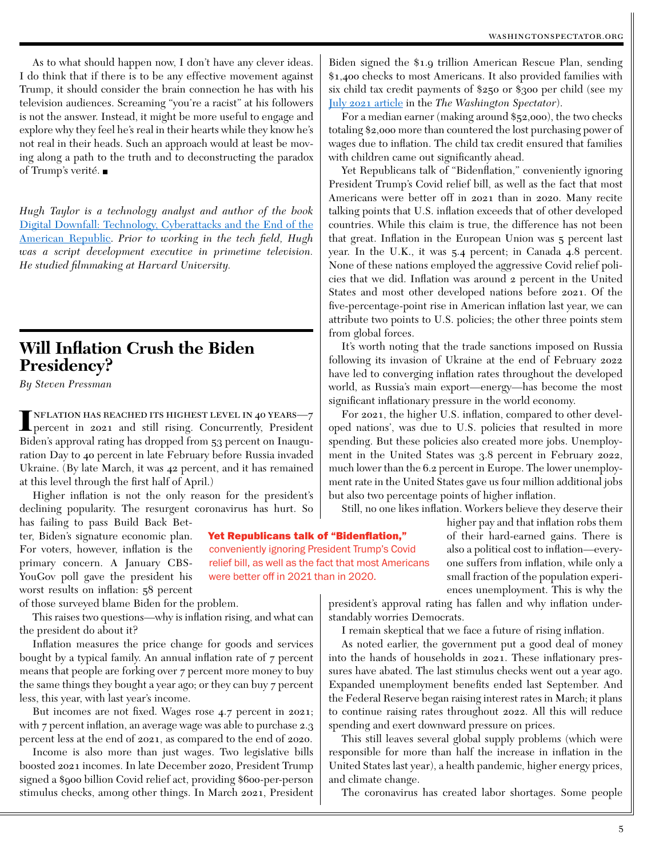As to what should happen now, I don't have any clever ideas. I do think that if there is to be any effective movement against Trump, it should consider the brain connection he has with his television audiences. Screaming "you're a racist" at his followers is not the answer. Instead, it might be more useful to engage and explore why they feel he's real in their hearts while they know he's not real in their heads. Such an approach would at least be moving along a path to the truth and to deconstructing the paradox of Trump's verité.

*Hugh Taylor is a technology analyst and author of the book*  [Digital Downfall: Technology, Cyberattacks and the End of the](https://www.amazon.com/Digital-Downfall-Technology-Cyberattacks-American-ebook/dp/B089YXZZ8K/ref=sr_1_1?dchild=1&keywords=digital+downfall&qid=1634559995&s=books&sr=1-1)  [American Republic](https://www.amazon.com/Digital-Downfall-Technology-Cyberattacks-American-ebook/dp/B089YXZZ8K/ref=sr_1_1?dchild=1&keywords=digital+downfall&qid=1634559995&s=books&sr=1-1). *Prior to working in the tech field, Hugh was a script development executive in primetime television. He studied filmmaking at Harvard University.* 

# **Will Inflation Crush the Biden Presidency?**

*By Steven Pressman*

**I**NFLATION HAS REACHED ITS HIGHEST LEVEL IN 40 YEARS—7 percent in 2021 and still rising. Concurrently, President Biden's approval rating has dropped from 53 percent on Inauguration Day to 40 percent in late February before Russia invaded Ukraine. (By late March, it was 42 percent, and it has remained at this level through the first half of April.)

Higher inflation is not the only reason for the president's declining popularity. The resurgent coronavirus has hurt. So has failing to pass Build Back Bet-

ter, Biden's signature economic plan. For voters, however, inflation is the primary concern. A January CBS-YouGov poll gave the president his worst results on inflation: 58 percent

Yet Republicans talk of "Bidenflation," conveniently ignoring President Trump's Covid relief bill, as well as the fact that most Americans were better off in 2021 than in 2020.

of those surveyed blame Biden for the problem.

This raises two questions—why is inflation rising, and what can the president do about it?

Inflation measures the price change for goods and services bought by a typical family. An annual inflation rate of 7 percent means that people are forking over 7 percent more money to buy the same things they bought a year ago; or they can buy 7 percent less, this year, with last year's income.

But incomes are not fixed. Wages rose 4.7 percent in 2021; with 7 percent inflation, an average wage was able to purchase 2.3 percent less at the end of 2021, as compared to the end of 2020.

Income is also more than just wages. Two legislative bills boosted 2021 incomes. In late December 2020, President Trump signed a \$900 billion Covid relief act, providing \$600-per-person stimulus checks, among other things. In March 2021, President Biden signed the \$1.9 trillion American Rescue Plan, sending \$1,400 checks to most Americans. It also provided families with six child tax credit payments of \$250 or \$300 per child (see my [July 2021 article](https://washingtonspectator.org/child-allowances-pressman/) in the *The Washington Spectator*).

For a median earner (making around \$52,000), the two checks totaling \$2,000 more than countered the lost purchasing power of wages due to inflation. The child tax credit ensured that families with children came out significantly ahead.

Yet Republicans talk of "Bidenflation," conveniently ignoring President Trump's Covid relief bill, as well as the fact that most Americans were better off in 2021 than in 2020. Many recite talking points that U.S. inflation exceeds that of other developed countries. While this claim is true, the difference has not been that great. Inflation in the European Union was 5 percent last year. In the U.K., it was 5.4 percent; in Canada 4.8 percent. None of these nations employed the aggressive Covid relief policies that we did. Inflation was around 2 percent in the United States and most other developed nations before 2021. Of the five-percentage-point rise in American inflation last year, we can attribute two points to U.S. policies; the other three points stem from global forces.

It's worth noting that the trade sanctions imposed on Russia following its invasion of Ukraine at the end of February 2022 have led to converging inflation rates throughout the developed world, as Russia's main export—energy—has become the most significant inflationary pressure in the world economy.

For 2021, the higher U.S. inflation, compared to other developed nations', was due to U.S. policies that resulted in more spending. But these policies also created more jobs. Unemployment in the United States was 3.8 percent in February 2022, much lower than the 6.2 percent in Europe. The lower unemployment rate in the United States gave us four million additional jobs but also two percentage points of higher inflation.

Still, no one likes inflation. Workers believe they deserve their

higher pay and that inflation robs them of their hard-earned gains. There is also a political cost to inflation—everyone suffers from inflation, while only a small fraction of the population experiences unemployment. This is why the

president's approval rating has fallen and why inflation understandably worries Democrats.

I remain skeptical that we face a future of rising inflation.

As noted earlier, the government put a good deal of money into the hands of households in 2021. These inflationary pressures have abated. The last stimulus checks went out a year ago. Expanded unemployment benefits ended last September. And the Federal Reserve began raising interest rates in March; it plans to continue raising rates throughout 2022. All this will reduce spending and exert downward pressure on prices.

This still leaves several global supply problems (which were responsible for more than half the increase in inflation in the United States last year), a health pandemic, higher energy prices, and climate change.

The coronavirus has created labor shortages. Some people